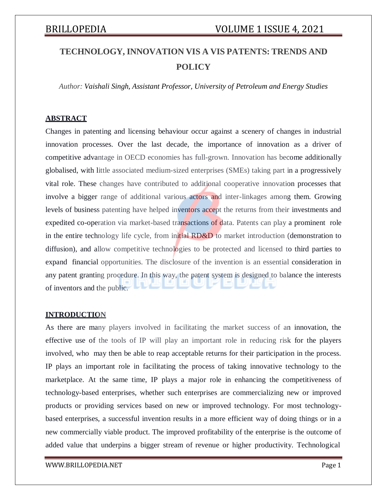# **TECHNOLOGY, INNOVATION VIS A VIS PATENTS: TRENDS AND POLICY**

*Author: Vaishali Singh, Assistant Professor, University of Petroleum and Energy Studies*

## **ABSTRACT**

Changes in patenting and licensing behaviour occur against a scenery of changes in industrial innovation processes. Over the last decade, the importance of innovation as a driver of competitive advantage in OECD economies has full-grown. Innovation has become additionally globalised, with little associated medium-sized enterprises (SMEs) taking part in a progressively vital role. These changes have contributed to additional cooperative innovation processes that involve a bigger range of additional various actors and inter-linkages among them. Growing levels of business patenting have helped inventors accept the returns from their investments and expedited co-operation via market-based transactions of data. Patents can play a prominent role in the entire technology life cycle, from initial RD&D to market introduction (demonstration to diffusion), and allow competitive technologies to be protected and licensed to third parties to expand financial opportunities. The disclosure of the invention is an essential consideration in any patent granting procedure. In this way, the patent system is designed to balance the interests of inventors and the public.

### **INTRODUCTION**

As there are many players involved in facilitating the market success of an innovation, the effective use of the tools of IP will play an important role in reducing risk for the players involved, who may then be able to reap acceptable returns for their participation in the process. IP plays an important role in facilitating the process of taking innovative technology to the marketplace. At the same time, IP plays a major role in enhancing the competitiveness of technology-based enterprises, whether such enterprises are commercializing new or improved products or providing services based on new or improved technology. For most technologybased enterprises, a successful invention results in a more efficient way of doing things or in a new commercially viable product. The improved profitability of the enterprise is the outcome of added value that underpins a bigger stream of revenue or higher productivity. Technological

[WWW.BRILLOPEDIA.NET](http://www.brillopedia.net/)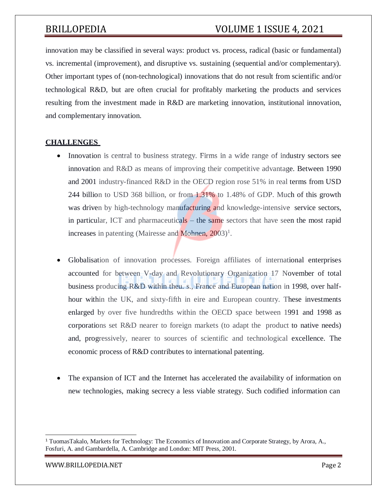innovation may be classified in several ways: product vs. process, radical (basic or fundamental) vs. incremental (improvement), and disruptive vs. sustaining (sequential and/or complementary). Other important types of (non-technological) innovations that do not result from scientific and/or technological R&D, but are often crucial for profitably marketing the products and services resulting from the investment made in R&D are marketing innovation, institutional innovation, and complementary innovation.

# **CHALLENGES**

- Innovation is central to business strategy. Firms in a wide range of industry sectors see innovation and R&D as means of improving their competitive advantage. Between 1990 and 2001 industry-financed R&D in the OECD region rose 51% in real terms from USD 244 billion to USD 368 billion, or from 1.31% to 1.48% of GDP. Much of this growth was driven by high-technology manufacturing and knowledge-intensive service sectors, in particular, ICT and pharmaceuticals – the same sectors that have seen the most rapid increases in patenting (Mairesse and Mohnen,  $2003$ )<sup>1</sup>.
- Globalisation of innovation processes. Foreign affiliates of international enterprises accounted for between V-day and Revolutionary Organization 17 November of total business producing R&D within theu. s., France and European nation in 1998, over halfhour within the UK, and sixty-fifth in eire and European country. These investments enlarged by over five hundredths within the OECD space between 1991 and 1998 as corporations set R&D nearer to foreign markets (to adapt the product to native needs) and, progressively, nearer to sources of scientific and technological excellence. The economic process of R&D contributes to international patenting.
- The expansion of ICT and the Internet has accelerated the availability of information on new technologies, making secrecy a less viable strategy. Such codified information can

[WWW.BRILLOPEDIA.NET](http://www.brillopedia.net/) Page 2

<sup>1</sup> TuomasTakalo, Markets for Technology: The Economics of Innovation and Corporate Strategy, by Arora, A., Fosfuri, A. and Gambardella, A. Cambridge and London: MIT Press, 2001.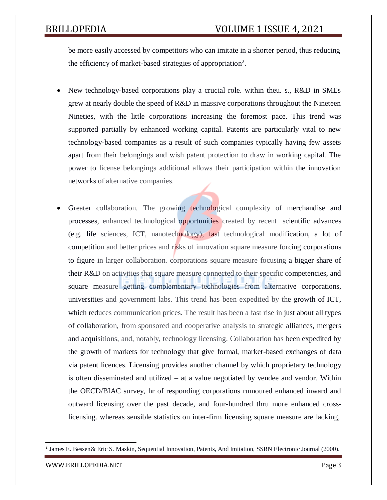be more easily accessed by competitors who can imitate in a shorter period, thus reducing the efficiency of market-based strategies of appropriation<sup>2</sup>.

- New technology-based corporations play a crucial role. within theu. s., R&D in SMEs grew at nearly double the speed of R&D in massive corporations throughout the Nineteen Nineties, with the little corporations increasing the foremost pace. This trend was supported partially by enhanced working capital. Patents are particularly vital to new technology-based companies as a result of such companies typically having few assets apart from their belongings and wish patent protection to draw in working capital. The power to license belongings additional allows their participation within the innovation networks of alternative companies.
- Greater collaboration. The growing technological complexity of merchandise and processes, enhanced technological opportunities created by recent scientific advances (e.g. life sciences, ICT, nanotechnology), fast technological modification, a lot of competition and better prices and risks of innovation square measure forcing corporations to figure in larger collaboration. corporations square measure focusing a bigger share of their R&D on activities that square measure connected to their specific competencies, and square measure getting complementary technologies from alternative corporations, universities and government labs. This trend has been expedited by the growth of ICT, which reduces communication prices. The result has been a fast rise in just about all types of collaboration, from sponsored and cooperative analysis to strategic alliances, mergers and acquisitions, and, notably, technology licensing. Collaboration has been expedited by the growth of markets for technology that give formal, market-based exchanges of data via patent licences. Licensing provides another channel by which proprietary technology is often disseminated and utilized – at a value negotiated by vendee and vendor. Within the OECD/BIAC survey, hr of responding corporations rumoured enhanced inward and outward licensing over the past decade, and four-hundred thru more enhanced crosslicensing. whereas sensible statistics on inter-firm licensing square measure are lacking,

<sup>&</sup>lt;sup>2</sup> James E. Bessen& Eric S. Maskin, Sequential Innovation, Patents, And Imitation, SSRN Electronic Journal (2000).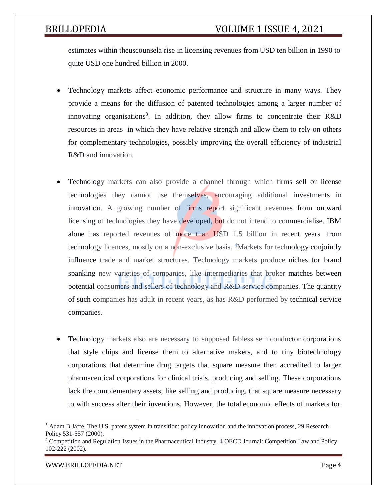estimates within theuscounsela rise in licensing revenues from USD ten billion in 1990 to quite USD one hundred billion in 2000.

- Technology markets affect economic performance and structure in many ways. They provide a means for the diffusion of patented technologies among a larger number of innovating organisations<sup>3</sup>. In addition, they allow firms to concentrate their R&D resources in areas in which they have relative strength and allow them to rely on others for complementary technologies, possibly improving the overall efficiency of industrial R&D and innovation.
- Technology markets can also provide a channel through which firms sell or license technologies they cannot use themselves, encouraging additional investments in innovation. A growing number of firms report significant revenues from outward licensing of technologies they have developed, but do not intend to commercialise. IBM alone has reported revenues of more than USD 1.5 billion in recent years from technology licences, mostly on a non-exclusive basis. <sup>4</sup>Markets for technology conjointly influence trade and market structures. Technology markets produce niches for brand spanking new varieties of companies, like intermediaries that broker matches between potential consumers and sellers of technology and R&D service companies. The quantity of such companies has adult in recent years, as has R&D performed by technical service companies.
- Technology markets also are necessary to supposed fabless semiconductor corporations that style chips and license them to alternative makers, and to tiny biotechnology corporations that determine drug targets that square measure then accredited to larger pharmaceutical corporations for clinical trials, producing and selling. These corporations lack the complementary assets, like selling and producing, that square measure necessary to with success alter their inventions. However, the total economic effects of markets for

<sup>&</sup>lt;sup>3</sup> Adam B Jaffe, The U.S. patent system in transition: policy innovation and the innovation process, 29 Research Policy 531-557 (2000).

<sup>4</sup> Competition and Regulation Issues in the Pharmaceutical Industry, 4 OECD Journal: Competition Law and Policy 102-222 (2002).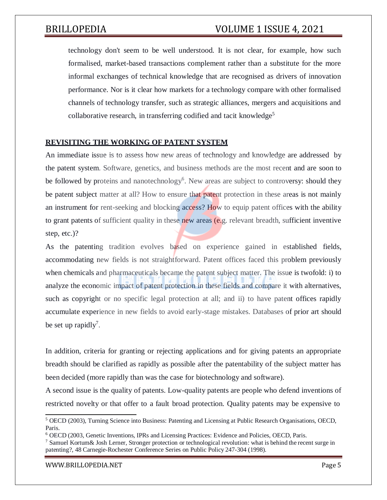technology don't seem to be well understood. It is not clear, for example, how such formalised, market-based transactions complement rather than a substitute for the more informal exchanges of technical knowledge that are recognised as drivers of innovation performance. Nor is it clear how markets for a technology compare with other formalised channels of technology transfer, such as strategic alliances, mergers and acquisitions and collaborative research, in transferring codified and tacit knowledge<sup>5</sup>

## **REVISITING THE WORKING OF PATENT SYSTEM**

An immediate issue is to assess how new areas of technology and knowledge are addressed by the patent system. Software, genetics, and business methods are the most recent and are soon to be followed by proteins and nanotechnology<sup>6</sup>. New areas are subject to controversy: should they be patent subject matter at all? How to ensure that patent protection in these areas is not mainly an instrument for rent-seeking and blocking access? How to equip patent offices with the ability to grant patents of sufficient quality in these new areas (e.g. relevant breadth, sufficient inventive step, etc.)?

As the patenting tradition evolves based on experience gained in established fields, accommodating new fields is not straightforward. Patent offices faced this problem previously when chemicals and pharmaceuticals became the patent subject matter. The issue is twofold: i) to analyze the economic impact of patent protection in these fields and compare it with alternatives, such as copyright or no specific legal protection at all; and ii) to have patent offices rapidly accumulate experience in new fields to avoid early-stage mistakes. Databases of prior art should be set up rapidly<sup>7</sup>.

In addition, criteria for granting or rejecting applications and for giving patents an appropriate breadth should be clarified as rapidly as possible after the patentability of the subject matter has been decided (more rapidly than was the case for biotechnology and software).

A second issue is the quality of patents. Low-quality patents are people who defend inventions of restricted novelty or that offer to a fault broad protection. Quality patents may be expensive to

[WWW.BRILLOPEDIA.NET](http://www.brillopedia.net/)

<sup>5</sup> OECD (2003), Turning Science into Business: Patenting and Licensing at Public Research Organisations, OECD, Paris.

<sup>6</sup> OECD (2003, Genetic Inventions, IPRs and Licensing Practices: Evidence and Policies, OECD, Paris.

 $7$  Samuel Kortum & Josh Lerner, Stronger protection or technological revolution: what is behind the recent surge in patenting?, 48 Carnegie-Rochester Conference Series on Public Policy 247-304 (1998).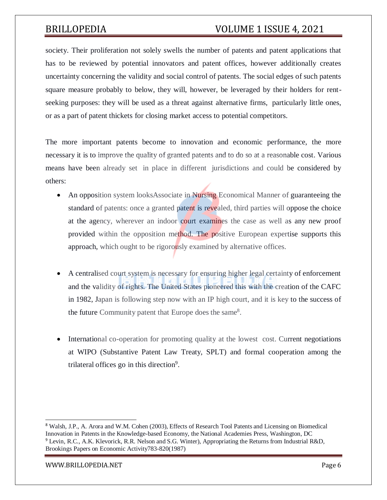# BRILLOPEDIA VOLUME 1 ISSUE 4, 2021

society. Their proliferation not solely swells the number of patents and patent applications that has to be reviewed by potential innovators and patent offices, however additionally creates uncertainty concerning the validity and social control of patents. The social edges of such patents square measure probably to below, they will, however, be leveraged by their holders for rentseeking purposes: they will be used as a threat against alternative firms, particularly little ones, or as a part of patent thickets for closing market access to potential competitors.

The more important patents become to innovation and economic performance, the more necessary it is to improve the quality of granted patents and to do so at a reasonable cost. Various means have been already set in place in different jurisdictions and could be considered by others:

- An opposition system looksAssociate in Nursing Economical Manner of guaranteeing the standard of patents: once a granted patent is revealed, third parties will oppose the choice at the agency, wherever an indoor court examines the case as well as any new proof provided within the opposition method. The positive European expertise supports this approach, which ought to be rigorously examined by alternative offices.
- A centralised court system is necessary for ensuring higher legal certainty of enforcement and the validity of rights. The United States pioneered this with the creation of the CAFC in 1982, Japan is following step now with an IP high court, and it is key to the success of the future Community patent that Europe does the same<sup>8</sup>.
- International co-operation for promoting quality at the lowest cost. Current negotiations at WIPO (Substantive Patent Law Treaty, SPLT) and formal cooperation among the trilateral offices go in this direction<sup>9</sup>.

[WWW.BRILLOPEDIA.NET](http://www.brillopedia.net/)

<sup>8</sup> Walsh, J.P., A. Arora and W.M. Cohen (2003), Effects of Research Tool Patents and Licensing on Biomedical Innovation in Patents in the Knowledge-based Economy, the National Academies Press, Washington, DC <sup>9</sup> Levin, R.C., A.K. Klevorick, R.R. Nelson and S.G. Winter), Appropriating the Returns from Industrial R&D, Brookings Papers on Economic Activity783-820(1987)